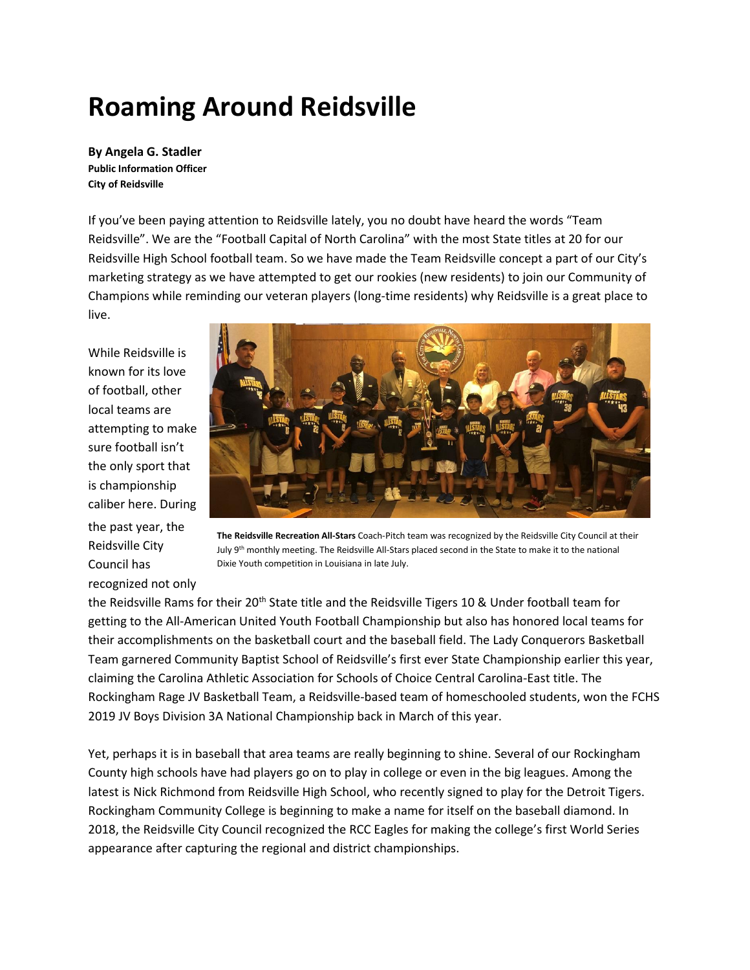## **Roaming Around Reidsville**

**By Angela G. Stadler Public Information Officer City of Reidsville**

If you've been paying attention to Reidsville lately, you no doubt have heard the words "Team Reidsville". We are the "Football Capital of North Carolina" with the most State titles at 20 for our Reidsville High School football team. So we have made the Team Reidsville concept a part of our City's marketing strategy as we have attempted to get our rookies (new residents) to join our Community of Champions while reminding our veteran players (long-time residents) why Reidsville is a great place to live.

While Reidsville is known for its love of football, other local teams are attempting to make sure football isn't the only sport that is championship caliber here. During the past year, the Reidsville City Council has recognized not only



**The Reidsville Recreation All-Stars** Coach-Pitch team was recognized by the Reidsville City Council at their July 9<sup>th</sup> monthly meeting. The Reidsville All-Stars placed second in the State to make it to the national Dixie Youth competition in Louisiana in late July.

the Reidsville Rams for their 20<sup>th</sup> State title and the Reidsville Tigers 10 & Under football team for getting to the All-American United Youth Football Championship but also has honored local teams for their accomplishments on the basketball court and the baseball field. The Lady Conquerors Basketball Team garnered Community Baptist School of Reidsville's first ever State Championship earlier this year, claiming the Carolina Athletic Association for Schools of Choice Central Carolina-East title. The Rockingham Rage JV Basketball Team, a Reidsville-based team of homeschooled students, won the FCHS 2019 JV Boys Division 3A National Championship back in March of this year.

Yet, perhaps it is in baseball that area teams are really beginning to shine. Several of our Rockingham County high schools have had players go on to play in college or even in the big leagues. Among the latest is Nick Richmond from Reidsville High School, who recently signed to play for the Detroit Tigers. Rockingham Community College is beginning to make a name for itself on the baseball diamond. In 2018, the Reidsville City Council recognized the RCC Eagles for making the college's first World Series appearance after capturing the regional and district championships.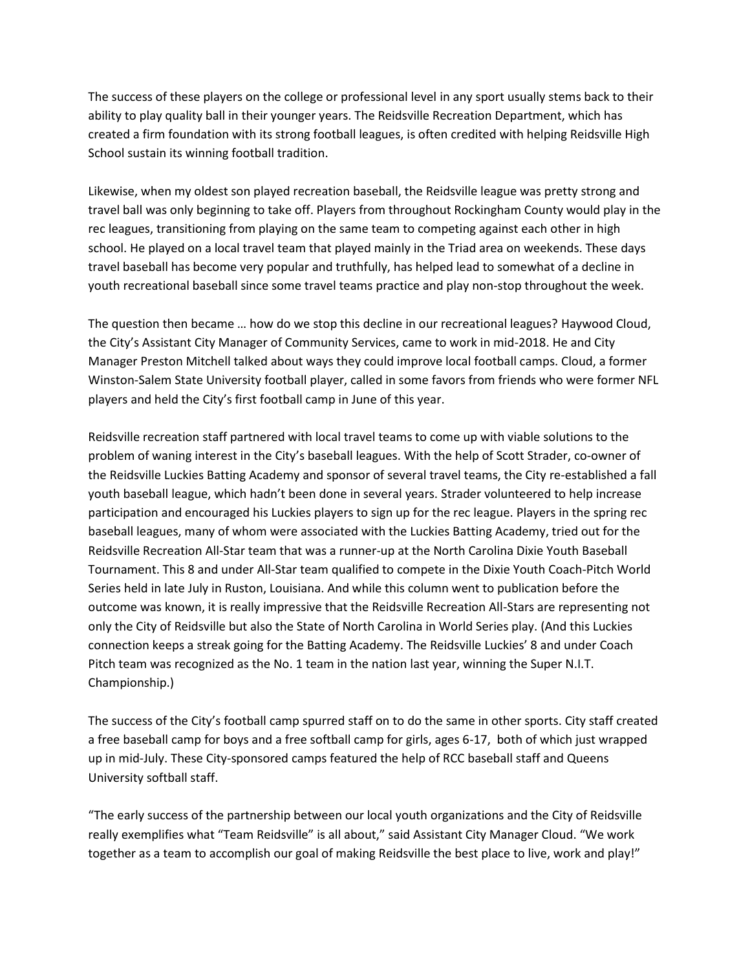The success of these players on the college or professional level in any sport usually stems back to their ability to play quality ball in their younger years. The Reidsville Recreation Department, which has created a firm foundation with its strong football leagues, is often credited with helping Reidsville High School sustain its winning football tradition.

Likewise, when my oldest son played recreation baseball, the Reidsville league was pretty strong and travel ball was only beginning to take off. Players from throughout Rockingham County would play in the rec leagues, transitioning from playing on the same team to competing against each other in high school. He played on a local travel team that played mainly in the Triad area on weekends. These days travel baseball has become very popular and truthfully, has helped lead to somewhat of a decline in youth recreational baseball since some travel teams practice and play non-stop throughout the week.

The question then became … how do we stop this decline in our recreational leagues? Haywood Cloud, the City's Assistant City Manager of Community Services, came to work in mid-2018. He and City Manager Preston Mitchell talked about ways they could improve local football camps. Cloud, a former Winston-Salem State University football player, called in some favors from friends who were former NFL players and held the City's first football camp in June of this year.

Reidsville recreation staff partnered with local travel teams to come up with viable solutions to the problem of waning interest in the City's baseball leagues. With the help of Scott Strader, co-owner of the Reidsville Luckies Batting Academy and sponsor of several travel teams, the City re-established a fall youth baseball league, which hadn't been done in several years. Strader volunteered to help increase participation and encouraged his Luckies players to sign up for the rec league. Players in the spring rec baseball leagues, many of whom were associated with the Luckies Batting Academy, tried out for the Reidsville Recreation All-Star team that was a runner-up at the North Carolina Dixie Youth Baseball Tournament. This 8 and under All-Star team qualified to compete in the Dixie Youth Coach-Pitch World Series held in late July in Ruston, Louisiana. And while this column went to publication before the outcome was known, it is really impressive that the Reidsville Recreation All-Stars are representing not only the City of Reidsville but also the State of North Carolina in World Series play. (And this Luckies connection keeps a streak going for the Batting Academy. The Reidsville Luckies' 8 and under Coach Pitch team was recognized as the No. 1 team in the nation last year, winning the Super N.I.T. Championship.)

The success of the City's football camp spurred staff on to do the same in other sports. City staff created a free baseball camp for boys and a free softball camp for girls, ages 6-17, both of which just wrapped up in mid-July. These City-sponsored camps featured the help of RCC baseball staff and Queens University softball staff.

"The early success of the partnership between our local youth organizations and the City of Reidsville really exemplifies what "Team Reidsville" is all about," said Assistant City Manager Cloud. "We work together as a team to accomplish our goal of making Reidsville the best place to live, work and play!"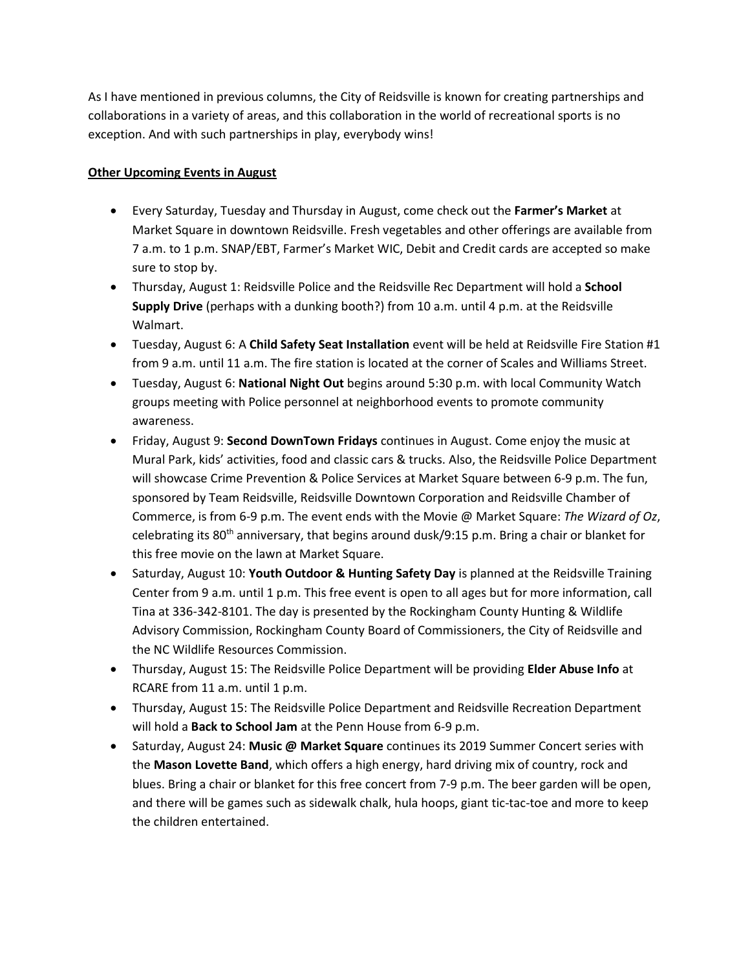As I have mentioned in previous columns, the City of Reidsville is known for creating partnerships and collaborations in a variety of areas, and this collaboration in the world of recreational sports is no exception. And with such partnerships in play, everybody wins!

## **Other Upcoming Events in August**

- Every Saturday, Tuesday and Thursday in August, come check out the **Farmer's Market** at Market Square in downtown Reidsville. Fresh vegetables and other offerings are available from 7 a.m. to 1 p.m. SNAP/EBT, Farmer's Market WIC, Debit and Credit cards are accepted so make sure to stop by.
- Thursday, August 1: Reidsville Police and the Reidsville Rec Department will hold a **School Supply Drive** (perhaps with a dunking booth?) from 10 a.m. until 4 p.m. at the Reidsville Walmart.
- Tuesday, August 6: A **Child Safety Seat Installation** event will be held at Reidsville Fire Station #1 from 9 a.m. until 11 a.m. The fire station is located at the corner of Scales and Williams Street.
- Tuesday, August 6: **National Night Out** begins around 5:30 p.m. with local Community Watch groups meeting with Police personnel at neighborhood events to promote community awareness.
- Friday, August 9: **Second DownTown Fridays** continues in August. Come enjoy the music at Mural Park, kids' activities, food and classic cars & trucks. Also, the Reidsville Police Department will showcase Crime Prevention & Police Services at Market Square between 6-9 p.m. The fun, sponsored by Team Reidsville, Reidsville Downtown Corporation and Reidsville Chamber of Commerce, is from 6-9 p.m. The event ends with the Movie @ Market Square: *The Wizard of Oz*, celebrating its  $80<sup>th</sup>$  anniversary, that begins around dusk/9:15 p.m. Bring a chair or blanket for this free movie on the lawn at Market Square.
- Saturday, August 10: **Youth Outdoor & Hunting Safety Day** is planned at the Reidsville Training Center from 9 a.m. until 1 p.m. This free event is open to all ages but for more information, call Tina at 336-342-8101. The day is presented by the Rockingham County Hunting & Wildlife Advisory Commission, Rockingham County Board of Commissioners, the City of Reidsville and the NC Wildlife Resources Commission.
- Thursday, August 15: The Reidsville Police Department will be providing **Elder Abuse Info** at RCARE from 11 a.m. until 1 p.m.
- Thursday, August 15: The Reidsville Police Department and Reidsville Recreation Department will hold a **Back to School Jam** at the Penn House from 6-9 p.m.
- Saturday, August 24: **Music @ Market Square** continues its 2019 Summer Concert series with the **Mason Lovette Band**, which offers a high energy, hard driving mix of country, rock and blues. Bring a chair or blanket for this free concert from 7-9 p.m. The beer garden will be open, and there will be games such as sidewalk chalk, hula hoops, giant tic-tac-toe and more to keep the children entertained.